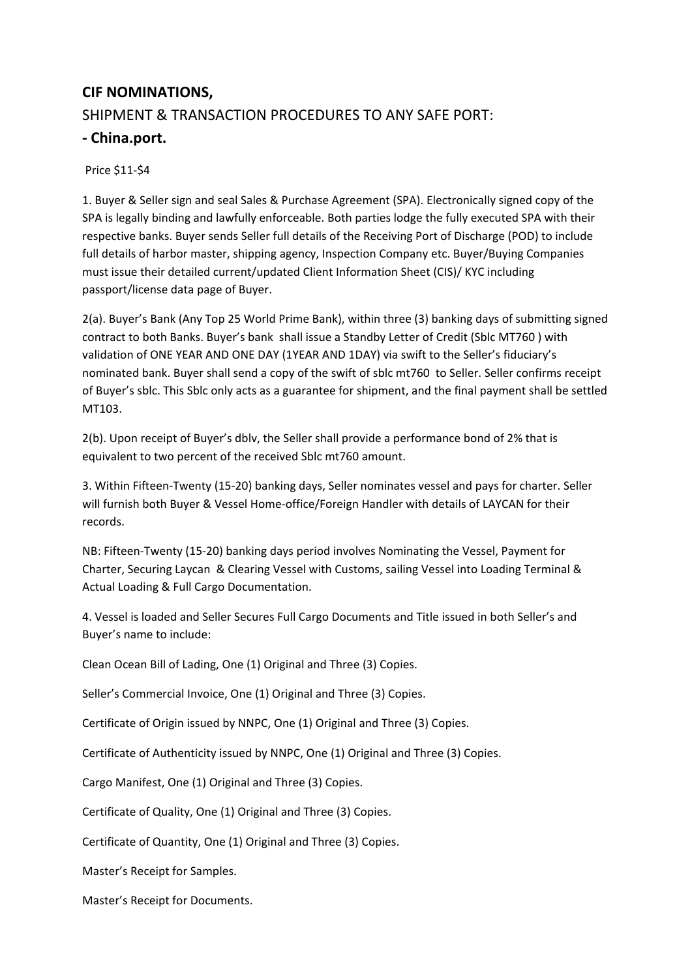## **CIF NOMINATIONS,**  SHIPMENT & TRANSACTION PROCEDURES TO ANY SAFE PORT:

## **- China.port.**

Price \$11-\$4

1. Buyer & Seller sign and seal Sales & Purchase Agreement (SPA). Electronically signed copy of the SPA is legally binding and lawfully enforceable. Both parties lodge the fully executed SPA with their respective banks. Buyer sends Seller full details of the Receiving Port of Discharge (POD) to include full details of harbor master, shipping agency, Inspection Company etc. Buyer/Buying Companies must issue their detailed current/updated Client Information Sheet (CIS)/ KYC including passport/license data page of Buyer.

2(a). Buyer's Bank (Any Top 25 World Prime Bank), within three (3) banking days of submitting signed contract to both Banks. Buyer's bank shall issue a Standby Letter of Credit (Sblc MT760 ) with validation of ONE YEAR AND ONE DAY (1YEAR AND 1DAY) via swift to the Seller's fiduciary's nominated bank. Buyer shall send a copy of the swift of sblc mt760 to Seller. Seller confirms receipt of Buyer's sblc. This Sblc only acts as a guarantee for shipment, and the final payment shall be settled MT103.

2(b). Upon receipt of Buyer's dblv, the Seller shall provide a performance bond of 2% that is equivalent to two percent of the received Sblc mt760 amount.

3. Within Fifteen-Twenty (15-20) banking days, Seller nominates vessel and pays for charter. Seller will furnish both Buyer & Vessel Home-office/Foreign Handler with details of LAYCAN for their records.

NB: Fifteen-Twenty (15-20) banking days period involves Nominating the Vessel, Payment for Charter, Securing Laycan & Clearing Vessel with Customs, sailing Vessel into Loading Terminal & Actual Loading & Full Cargo Documentation.

4. Vessel is loaded and Seller Secures Full Cargo Documents and Title issued in both Seller's and Buyer's name to include:

Clean Ocean Bill of Lading, One (1) Original and Three (3) Copies.

Seller's Commercial Invoice, One (1) Original and Three (3) Copies.

Certificate of Origin issued by NNPC, One (1) Original and Three (3) Copies.

Certificate of Authenticity issued by NNPC, One (1) Original and Three (3) Copies.

Cargo Manifest, One (1) Original and Three (3) Copies.

Certificate of Quality, One (1) Original and Three (3) Copies.

Certificate of Quantity, One (1) Original and Three (3) Copies.

Master's Receipt for Samples.

Master's Receipt for Documents.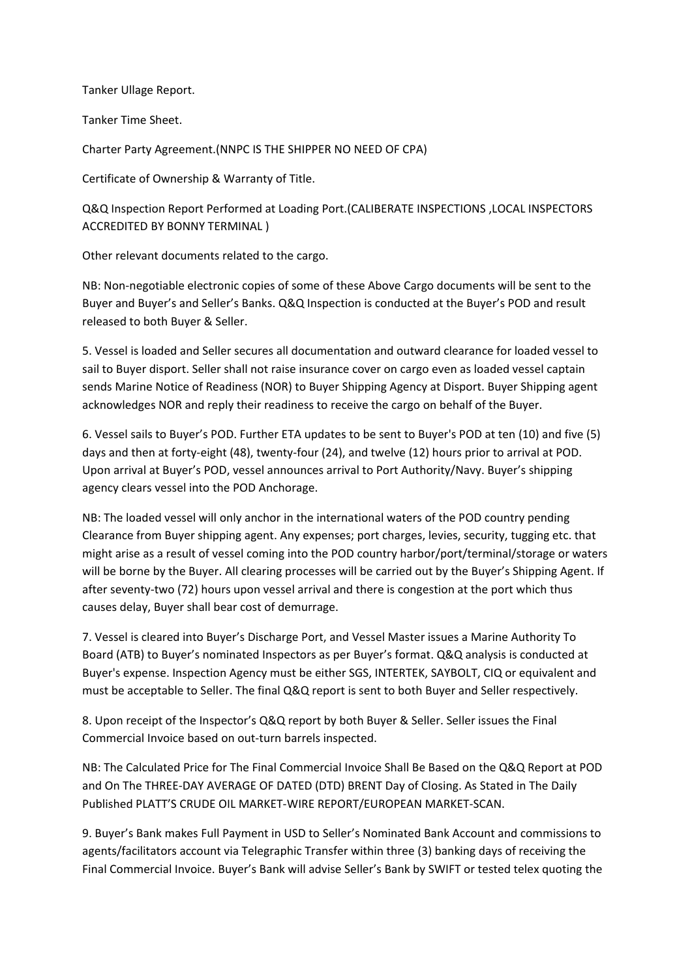Tanker Ullage Report.

Tanker Time Sheet.

Charter Party Agreement.(NNPC IS THE SHIPPER NO NEED OF CPA)

Certificate of Ownership & Warranty of Title.

Q&Q Inspection Report Performed at Loading Port.(CALIBERATE INSPECTIONS ,LOCAL INSPECTORS ACCREDITED BY BONNY TERMINAL )

Other relevant documents related to the cargo.

NB: Non-negotiable electronic copies of some of these Above Cargo documents will be sent to the Buyer and Buyer's and Seller's Banks. Q&Q Inspection is conducted at the Buyer's POD and result released to both Buyer & Seller.

5. Vessel is loaded and Seller secures all documentation and outward clearance for loaded vessel to sail to Buyer disport. Seller shall not raise insurance cover on cargo even as loaded vessel captain sends Marine Notice of Readiness (NOR) to Buyer Shipping Agency at Disport. Buyer Shipping agent acknowledges NOR and reply their readiness to receive the cargo on behalf of the Buyer.

6. Vessel sails to Buyer's POD. Further ETA updates to be sent to Buyer's POD at ten (10) and five (5) days and then at forty-eight (48), twenty-four (24), and twelve (12) hours prior to arrival at POD. Upon arrival at Buyer's POD, vessel announces arrival to Port Authority/Navy. Buyer's shipping agency clears vessel into the POD Anchorage.

NB: The loaded vessel will only anchor in the international waters of the POD country pending Clearance from Buyer shipping agent. Any expenses; port charges, levies, security, tugging etc. that might arise as a result of vessel coming into the POD country harbor/port/terminal/storage or waters will be borne by the Buyer. All clearing processes will be carried out by the Buyer's Shipping Agent. If after seventy-two (72) hours upon vessel arrival and there is congestion at the port which thus causes delay, Buyer shall bear cost of demurrage.

7. Vessel is cleared into Buyer's Discharge Port, and Vessel Master issues a Marine Authority To Board (ATB) to Buyer's nominated Inspectors as per Buyer's format. Q&Q analysis is conducted at Buyer's expense. Inspection Agency must be either SGS, INTERTEK, SAYBOLT, CIQ or equivalent and must be acceptable to Seller. The final Q&Q report is sent to both Buyer and Seller respectively.

8. Upon receipt of the Inspector's Q&Q report by both Buyer & Seller. Seller issues the Final Commercial Invoice based on out-turn barrels inspected.

NB: The Calculated Price for The Final Commercial Invoice Shall Be Based on the Q&Q Report at POD and On The THREE-DAY AVERAGE OF DATED (DTD) BRENT Day of Closing. As Stated in The Daily Published PLATT'S CRUDE OIL MARKET-WIRE REPORT/EUROPEAN MARKET-SCAN.

9. Buyer's Bank makes Full Payment in USD to Seller's Nominated Bank Account and commissions to agents/facilitators account via Telegraphic Transfer within three (3) banking days of receiving the Final Commercial Invoice. Buyer's Bank will advise Seller's Bank by SWIFT or tested telex quoting the